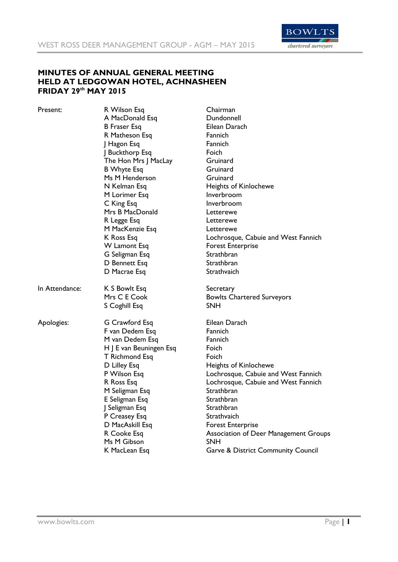

## **MINUTES OF ANNUAL GENERAL MEETING HELD AT LEDGOWAN HOTEL, ACHNASHEEN FRIDAY 29th MAY 2015**

| Present:       | R Wilson Esq            | Chairman                                      |
|----------------|-------------------------|-----------------------------------------------|
|                | A MacDonald Esq         | Dundonnell                                    |
|                | <b>B</b> Fraser Esq     | Eilean Darach                                 |
|                | R Matheson Esq          | Fannich                                       |
|                | J Hagon Esq             | Fannich                                       |
|                | J Buckthorp Esq         | Foich                                         |
|                | The Hon Mrs J MacLay    | Gruinard                                      |
|                | <b>B</b> Whyte Esq      | Gruinard                                      |
|                | Ms M Henderson          | Gruinard                                      |
|                | N Kelman Esq            | <b>Heights of Kinlochewe</b>                  |
|                | M Lorimer Esq           | Inverbroom                                    |
|                | C King Esq              | Inverbroom                                    |
|                | Mrs B MacDonald         | Letterewe                                     |
|                | R Legge Esq             | Letterewe                                     |
|                | M MacKenzie Esq         | Letterewe                                     |
|                | K Ross Esq              | Lochrosque, Cabuie and West Fannich           |
|                | W Lamont Esq            | <b>Forest Enterprise</b>                      |
|                | G Seligman Esq          | Strathbran                                    |
|                | D Bennett Esq           | Strathbran                                    |
|                | D Macrae Esq            | Strathvaich                                   |
| In Attendance: | K S Bowlt Esq           | Secretary                                     |
|                | Mrs C E Cook            | <b>Bowlts Chartered Surveyors</b>             |
|                | S Coghill Esq           | SNH                                           |
| Apologies:     | G Crawford Esq          | Eilean Darach                                 |
|                | F van Dedem Esq         | Fannich                                       |
|                | M van Dedem Esq         | Fannich                                       |
|                | H J E van Beuningen Esq | Foich                                         |
|                | T Richmond Esq          | Foich                                         |
|                | D Lilley Esq            | Heights of Kinlochewe                         |
|                | P Wilson Esq            | Lochrosque, Cabuie and West Fannich           |
|                | R Ross Esq              | Lochrosque, Cabuie and West Fannich           |
|                | M Seligman Esq          | Strathbran                                    |
|                | E Seligman Esq          | Strathbran                                    |
|                | J Seligman Esq          | Strathbran                                    |
|                | P Creasey Esq           | Strathvaich                                   |
|                | D MacAskill Esq         | <b>Forest Enterprise</b>                      |
|                | R Cooke Esq             | <b>Association of Deer Management Groups</b>  |
|                | Ms M Gibson             | SNH                                           |
|                | K MacLean Esq           | <b>Garve &amp; District Community Council</b> |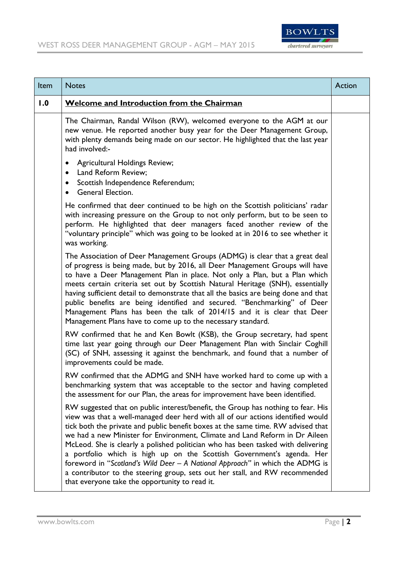

| Item | <b>Notes</b>                                                                                                                                                                                                                                                                                                                                                                                                                                                                                                                                                                                                                                                                                                          | Action |
|------|-----------------------------------------------------------------------------------------------------------------------------------------------------------------------------------------------------------------------------------------------------------------------------------------------------------------------------------------------------------------------------------------------------------------------------------------------------------------------------------------------------------------------------------------------------------------------------------------------------------------------------------------------------------------------------------------------------------------------|--------|
| 1.0  | Welcome and Introduction from the Chairman                                                                                                                                                                                                                                                                                                                                                                                                                                                                                                                                                                                                                                                                            |        |
|      | The Chairman, Randal Wilson (RW), welcomed everyone to the AGM at our<br>new venue. He reported another busy year for the Deer Management Group,<br>with plenty demands being made on our sector. He highlighted that the last year<br>had involved:-                                                                                                                                                                                                                                                                                                                                                                                                                                                                 |        |
|      | Agricultural Holdings Review;<br>٠<br>Land Reform Review;<br>$\bullet$<br>Scottish Independence Referendum;<br>$\bullet$<br>General Election.<br>$\bullet$                                                                                                                                                                                                                                                                                                                                                                                                                                                                                                                                                            |        |
|      | He confirmed that deer continued to be high on the Scottish politicians' radar<br>with increasing pressure on the Group to not only perform, but to be seen to<br>perform. He highlighted that deer managers faced another review of the<br>"voluntary principle" which was going to be looked at in 2016 to see whether it<br>was working.                                                                                                                                                                                                                                                                                                                                                                           |        |
|      | The Association of Deer Management Groups (ADMG) is clear that a great deal<br>of progress is being made, but by 2016, all Deer Management Groups will have<br>to have a Deer Management Plan in place. Not only a Plan, but a Plan which<br>meets certain criteria set out by Scottish Natural Heritage (SNH), essentially<br>having sufficient detail to demonstrate that all the basics are being done and that<br>public benefits are being identified and secured. "Benchmarking" of Deer<br>Management Plans has been the talk of 2014/15 and it is clear that Deer<br>Management Plans have to come up to the necessary standard.                                                                              |        |
|      | RW confirmed that he and Ken Bowlt (KSB), the Group secretary, had spent<br>time last year going through our Deer Management Plan with Sinclair Coghill<br>(SC) of SNH, assessing it against the benchmark, and found that a number of<br>improvements could be made.                                                                                                                                                                                                                                                                                                                                                                                                                                                 |        |
|      | RW confirmed that the ADMG and SNH have worked hard to come up with a<br>benchmarking system that was acceptable to the sector and having completed<br>the assessment for our Plan, the areas for improvement have been identified.                                                                                                                                                                                                                                                                                                                                                                                                                                                                                   |        |
|      | RW suggested that on public interest/benefit, the Group has nothing to fear. His<br>view was that a well-managed deer herd with all of our actions identified would<br>tick both the private and public benefit boxes at the same time. RW advised that<br>we had a new Minister for Environment, Climate and Land Reform in Dr Aileen<br>McLeod. She is clearly a polished politician who has been tasked with delivering<br>a portfolio which is high up on the Scottish Government's agenda. Her<br>foreword in "Scotland's Wild Deer - A National Approach" in which the ADMG is<br>a contributor to the steering group, sets out her stall, and RW recommended<br>that everyone take the opportunity to read it. |        |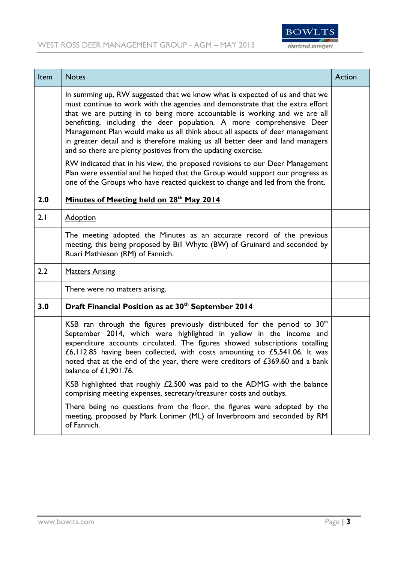

| Item | <b>Notes</b>                                                                                                                                                                                                                                                                                                                                                                                                                                                                                                                                                                                                                           | Action |
|------|----------------------------------------------------------------------------------------------------------------------------------------------------------------------------------------------------------------------------------------------------------------------------------------------------------------------------------------------------------------------------------------------------------------------------------------------------------------------------------------------------------------------------------------------------------------------------------------------------------------------------------------|--------|
|      | In summing up, RW suggested that we know what is expected of us and that we<br>must continue to work with the agencies and demonstrate that the extra effort<br>that we are putting in to being more accountable is working and we are all<br>benefitting, including the deer population. A more comprehensive Deer<br>Management Plan would make us all think about all aspects of deer management<br>in greater detail and is therefore making us all better deer and land managers<br>and so there are plenty positives from the updating exercise.<br>RW indicated that in his view, the proposed revisions to our Deer Management |        |
|      | Plan were essential and he hoped that the Group would support our progress as<br>one of the Groups who have reacted quickest to change and led from the front.                                                                                                                                                                                                                                                                                                                                                                                                                                                                         |        |
| 2.0  | Minutes of Meeting held on 28 <sup>th</sup> May 2014                                                                                                                                                                                                                                                                                                                                                                                                                                                                                                                                                                                   |        |
| 2.1  | <b>Adoption</b>                                                                                                                                                                                                                                                                                                                                                                                                                                                                                                                                                                                                                        |        |
|      | The meeting adopted the Minutes as an accurate record of the previous<br>meeting, this being proposed by Bill Whyte (BW) of Gruinard and seconded by<br>Ruari Mathieson (RM) of Fannich.                                                                                                                                                                                                                                                                                                                                                                                                                                               |        |
| 2.2  | <b>Matters Arising</b>                                                                                                                                                                                                                                                                                                                                                                                                                                                                                                                                                                                                                 |        |
|      | There were no matters arising.                                                                                                                                                                                                                                                                                                                                                                                                                                                                                                                                                                                                         |        |
| 3.0  | <b>Draft Financial Position as at 30th September 2014</b>                                                                                                                                                                                                                                                                                                                                                                                                                                                                                                                                                                              |        |
|      | KSB ran through the figures previously distributed for the period to $30th$<br>September 2014, which were highlighted in yellow in the income and<br>expenditure accounts circulated. The figures showed subscriptions totalling<br>£6,112.85 having been collected, with costs amounting to £5,541.06. It was<br>noted that at the end of the year, there were creditors of £369.60 and a bank<br>balance of £1,901.76.<br>KSB highlighted that roughly £2,500 was paid to the ADMG with the balance                                                                                                                                  |        |
|      | comprising meeting expenses, secretary/treasurer costs and outlays.                                                                                                                                                                                                                                                                                                                                                                                                                                                                                                                                                                    |        |
|      | There being no questions from the floor, the figures were adopted by the<br>meeting, proposed by Mark Lorimer (ML) of Inverbroom and seconded by RM<br>of Fannich.                                                                                                                                                                                                                                                                                                                                                                                                                                                                     |        |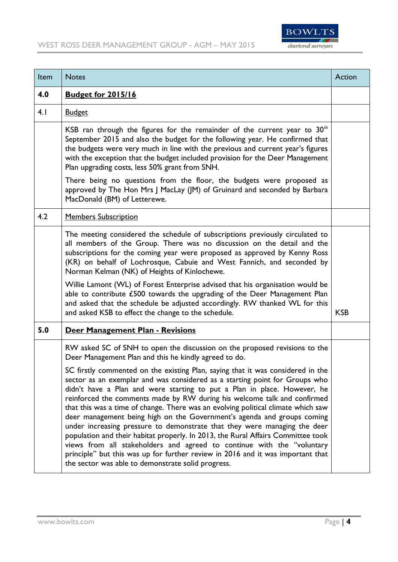

| Item | <b>Notes</b>                                                                                                                                                                                                                                                                                                                                                                                                                                                                                                                                                                                                                                                                                                                                                                                                                                                               | Action     |
|------|----------------------------------------------------------------------------------------------------------------------------------------------------------------------------------------------------------------------------------------------------------------------------------------------------------------------------------------------------------------------------------------------------------------------------------------------------------------------------------------------------------------------------------------------------------------------------------------------------------------------------------------------------------------------------------------------------------------------------------------------------------------------------------------------------------------------------------------------------------------------------|------------|
| 4.0  | <b>Budget for 2015/16</b>                                                                                                                                                                                                                                                                                                                                                                                                                                                                                                                                                                                                                                                                                                                                                                                                                                                  |            |
| 4.1  | <b>Budget</b>                                                                                                                                                                                                                                                                                                                                                                                                                                                                                                                                                                                                                                                                                                                                                                                                                                                              |            |
|      | KSB ran through the figures for the remainder of the current year to $30th$<br>September 2015 and also the budget for the following year. He confirmed that<br>the budgets were very much in line with the previous and current year's figures<br>with the exception that the budget included provision for the Deer Management<br>Plan upgrading costs, less 50% grant from SNH.                                                                                                                                                                                                                                                                                                                                                                                                                                                                                          |            |
|      | There being no questions from the floor, the budgets were proposed as<br>approved by The Hon Mrs J MacLay (JM) of Gruinard and seconded by Barbara<br>MacDonald (BM) of Letterewe.                                                                                                                                                                                                                                                                                                                                                                                                                                                                                                                                                                                                                                                                                         |            |
| 4.2  | <b>Members Subscription</b>                                                                                                                                                                                                                                                                                                                                                                                                                                                                                                                                                                                                                                                                                                                                                                                                                                                |            |
|      | The meeting considered the schedule of subscriptions previously circulated to<br>all members of the Group. There was no discussion on the detail and the<br>subscriptions for the coming year were proposed as approved by Kenny Ross<br>(KR) on behalf of Lochrosque, Cabuie and West Fannich, and seconded by<br>Norman Kelman (NK) of Heights of Kinlochewe.                                                                                                                                                                                                                                                                                                                                                                                                                                                                                                            |            |
|      | Willie Lamont (WL) of Forest Enterprise advised that his organisation would be<br>able to contribute £500 towards the upgrading of the Deer Management Plan<br>and asked that the schedule be adjusted accordingly. RW thanked WL for this<br>and asked KSB to effect the change to the schedule.                                                                                                                                                                                                                                                                                                                                                                                                                                                                                                                                                                          | <b>KSB</b> |
| 5.0  | Deer Management Plan - Revisions                                                                                                                                                                                                                                                                                                                                                                                                                                                                                                                                                                                                                                                                                                                                                                                                                                           |            |
|      | RW asked SC of SNH to open the discussion on the proposed revisions to the<br>Deer Management Plan and this he kindly agreed to do.                                                                                                                                                                                                                                                                                                                                                                                                                                                                                                                                                                                                                                                                                                                                        |            |
|      | SC firstly commented on the existing Plan, saying that it was considered in the<br>sector as an exemplar and was considered as a starting point for Groups who<br>didn't have a Plan and were starting to put a Plan in place. However, he<br>reinforced the comments made by RW during his welcome talk and confirmed<br>that this was a time of change. There was an evolving political climate which saw<br>deer management being high on the Government's agenda and groups coming<br>under increasing pressure to demonstrate that they were managing the deer<br>population and their habitat properly. In 2013, the Rural Affairs Committee took<br>views from all stakeholders and agreed to continue with the "voluntary<br>principle" but this was up for further review in 2016 and it was important that<br>the sector was able to demonstrate solid progress. |            |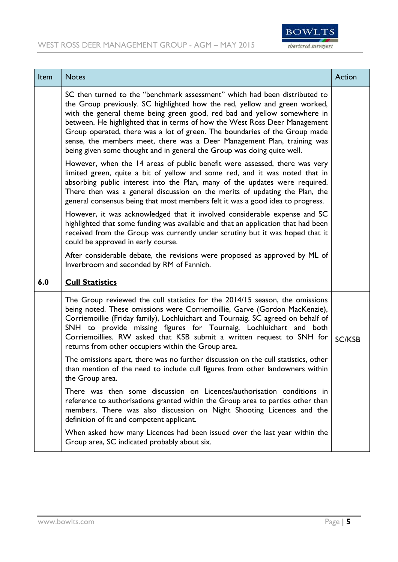

| Item | <b>Notes</b>                                                                                                                                                                                                                                                                                                                                                                                                                                                                                                                                           | Action        |
|------|--------------------------------------------------------------------------------------------------------------------------------------------------------------------------------------------------------------------------------------------------------------------------------------------------------------------------------------------------------------------------------------------------------------------------------------------------------------------------------------------------------------------------------------------------------|---------------|
|      | SC then turned to the "benchmark assessment" which had been distributed to<br>the Group previously. SC highlighted how the red, yellow and green worked,<br>with the general theme being green good, red bad and yellow somewhere in<br>between. He highlighted that in terms of how the West Ross Deer Management<br>Group operated, there was a lot of green. The boundaries of the Group made<br>sense, the members meet, there was a Deer Management Plan, training was<br>being given some thought and in general the Group was doing quite well. |               |
|      | However, when the 14 areas of public benefit were assessed, there was very<br>limited green, quite a bit of yellow and some red, and it was noted that in<br>absorbing public interest into the Plan, many of the updates were required.<br>There then was a general discussion on the merits of updating the Plan, the<br>general consensus being that most members felt it was a good idea to progress.                                                                                                                                              |               |
|      | However, it was acknowledged that it involved considerable expense and SC<br>highlighted that some funding was available and that an application that had been<br>received from the Group was currently under scrutiny but it was hoped that it<br>could be approved in early course.                                                                                                                                                                                                                                                                  |               |
|      | After considerable debate, the revisions were proposed as approved by ML of<br>Inverbroom and seconded by RM of Fannich.                                                                                                                                                                                                                                                                                                                                                                                                                               |               |
| 6.0  | <b>Cull Statistics</b>                                                                                                                                                                                                                                                                                                                                                                                                                                                                                                                                 |               |
|      | The Group reviewed the cull statistics for the 2014/15 season, the omissions<br>being noted. These omissions were Corriemoillie, Garve (Gordon MacKenzie),<br>Corriemoillie (Friday family), Lochluichart and Tournaig. SC agreed on behalf of<br>SNH to provide missing figures for Tournaig, Lochluichart and both<br>Corriemoillies. RW asked that KSB submit a written request to SNH for<br>returns from other occupiers within the Group area.                                                                                                   | <b>SC/KSB</b> |
|      | The omissions apart, there was no further discussion on the cull statistics, other<br>than mention of the need to include cull figures from other landowners within<br>the Group area.                                                                                                                                                                                                                                                                                                                                                                 |               |
|      | There was then some discussion on Licences/authorisation conditions in<br>reference to authorisations granted within the Group area to parties other than<br>members. There was also discussion on Night Shooting Licences and the<br>definition of fit and competent applicant.                                                                                                                                                                                                                                                                       |               |
|      | When asked how many Licences had been issued over the last year within the<br>Group area, SC indicated probably about six.                                                                                                                                                                                                                                                                                                                                                                                                                             |               |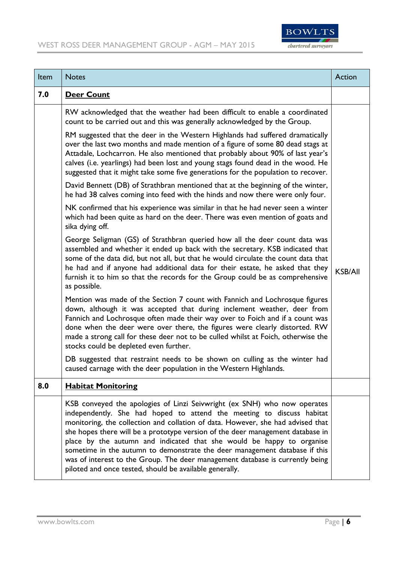

| Item | <b>Notes</b>                                                                                                                                                                                                                                                                                                                                                                                                                                                                                                                                                                                                              | Action         |
|------|---------------------------------------------------------------------------------------------------------------------------------------------------------------------------------------------------------------------------------------------------------------------------------------------------------------------------------------------------------------------------------------------------------------------------------------------------------------------------------------------------------------------------------------------------------------------------------------------------------------------------|----------------|
| 7.0  | <b>Deer Count</b>                                                                                                                                                                                                                                                                                                                                                                                                                                                                                                                                                                                                         |                |
|      | RW acknowledged that the weather had been difficult to enable a coordinated<br>count to be carried out and this was generally acknowledged by the Group.                                                                                                                                                                                                                                                                                                                                                                                                                                                                  |                |
|      | RM suggested that the deer in the Western Highlands had suffered dramatically<br>over the last two months and made mention of a figure of some 80 dead stags at<br>Attadale, Lochcarron. He also mentioned that probably about 90% of last year's<br>calves (i.e. yearlings) had been lost and young stags found dead in the wood. He<br>suggested that it might take some five generations for the population to recover.                                                                                                                                                                                                |                |
|      | David Bennett (DB) of Strathbran mentioned that at the beginning of the winter,<br>he had 38 calves coming into feed with the hinds and now there were only four.                                                                                                                                                                                                                                                                                                                                                                                                                                                         |                |
|      | NK confirmed that his experience was similar in that he had never seen a winter<br>which had been quite as hard on the deer. There was even mention of goats and<br>sika dying off.                                                                                                                                                                                                                                                                                                                                                                                                                                       |                |
|      | George Seligman (GS) of Strathbran queried how all the deer count data was<br>assembled and whether it ended up back with the secretary. KSB indicated that<br>some of the data did, but not all, but that he would circulate the count data that<br>he had and if anyone had additional data for their estate, he asked that they<br>furnish it to him so that the records for the Group could be as comprehensive<br>as possible.                                                                                                                                                                                       | <b>KSB/All</b> |
|      | Mention was made of the Section 7 count with Fannich and Lochrosque figures<br>down, although it was accepted that during inclement weather, deer from<br>Fannich and Lochrosque often made their way over to Foich and if a count was<br>done when the deer were over there, the figures were clearly distorted. RW<br>made a strong call for these deer not to be culled whilst at Foich, otherwise the<br>stocks could be depleted even further.                                                                                                                                                                       |                |
|      | DB suggested that restraint needs to be shown on culling as the winter had<br>caused carnage with the deer population in the Western Highlands.                                                                                                                                                                                                                                                                                                                                                                                                                                                                           |                |
| 8.0  | <b>Habitat Monitoring</b>                                                                                                                                                                                                                                                                                                                                                                                                                                                                                                                                                                                                 |                |
|      | KSB conveyed the apologies of Linzi Seivwright (ex SNH) who now operates<br>independently. She had hoped to attend the meeting to discuss habitat<br>monitoring, the collection and collation of data. However, she had advised that<br>she hopes there will be a prototype version of the deer management database in<br>place by the autumn and indicated that she would be happy to organise<br>sometime in the autumn to demonstrate the deer management database if this<br>was of interest to the Group. The deer management database is currently being<br>piloted and once tested, should be available generally. |                |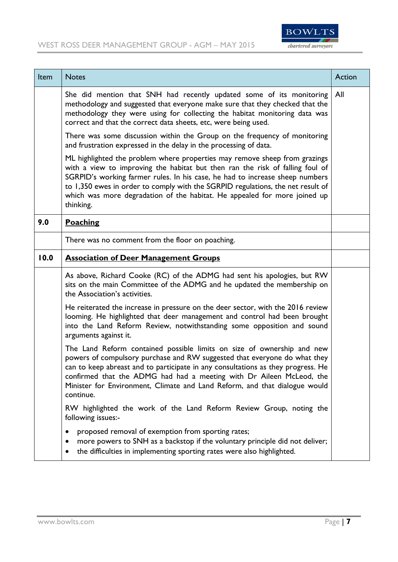

| Item | <b>Notes</b>                                                                                                                                                                                                                                                                                                                                                                                                             | Action |
|------|--------------------------------------------------------------------------------------------------------------------------------------------------------------------------------------------------------------------------------------------------------------------------------------------------------------------------------------------------------------------------------------------------------------------------|--------|
|      | She did mention that SNH had recently updated some of its monitoring<br>methodology and suggested that everyone make sure that they checked that the<br>methodology they were using for collecting the habitat monitoring data was<br>correct and that the correct data sheets, etc, were being used.                                                                                                                    | All    |
|      | There was some discussion within the Group on the frequency of monitoring<br>and frustration expressed in the delay in the processing of data.                                                                                                                                                                                                                                                                           |        |
|      | ML highlighted the problem where properties may remove sheep from grazings<br>with a view to improving the habitat but then ran the risk of falling foul of<br>SGRPID's working farmer rules. In his case, he had to increase sheep numbers<br>to 1,350 ewes in order to comply with the SGRPID regulations, the net result of<br>which was more degradation of the habitat. He appealed for more joined up<br>thinking. |        |
| 9.0  | <b>Poaching</b>                                                                                                                                                                                                                                                                                                                                                                                                          |        |
|      | There was no comment from the floor on poaching.                                                                                                                                                                                                                                                                                                                                                                         |        |
| 10.0 | <b>Association of Deer Management Groups</b>                                                                                                                                                                                                                                                                                                                                                                             |        |
|      | As above, Richard Cooke (RC) of the ADMG had sent his apologies, but RW<br>sits on the main Committee of the ADMG and he updated the membership on<br>the Association's activities.                                                                                                                                                                                                                                      |        |
|      | He reiterated the increase in pressure on the deer sector, with the 2016 review<br>looming. He highlighted that deer management and control had been brought<br>into the Land Reform Review, notwithstanding some opposition and sound<br>arguments against it.                                                                                                                                                          |        |
|      | The Land Reform contained possible limits on size of ownership and new<br>powers of compulsory purchase and RW suggested that everyone do what they<br>can to keep abreast and to participate in any consultations as they progress. He<br>confirmed that the ADMG had had a meeting with Dr Aileen McLeod, the<br>Minister for Environment, Climate and Land Reform, and that dialogue would<br>continue.               |        |
|      | RW highlighted the work of the Land Reform Review Group, noting the<br>following issues:-                                                                                                                                                                                                                                                                                                                                |        |
|      | proposed removal of exemption from sporting rates;<br>more powers to SNH as a backstop if the voluntary principle did not deliver;<br>$\bullet$<br>the difficulties in implementing sporting rates were also highlighted.<br>$\bullet$                                                                                                                                                                                   |        |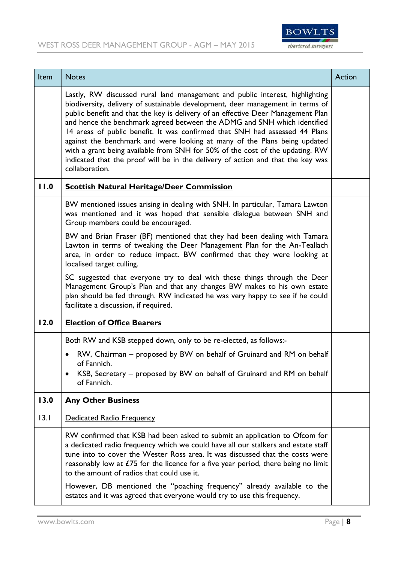

| Item | <b>Notes</b>                                                                                                                                                                                                                                                                                                                                                                                                                                                                                                                                                                                                                                                                     | Action |
|------|----------------------------------------------------------------------------------------------------------------------------------------------------------------------------------------------------------------------------------------------------------------------------------------------------------------------------------------------------------------------------------------------------------------------------------------------------------------------------------------------------------------------------------------------------------------------------------------------------------------------------------------------------------------------------------|--------|
|      | Lastly, RW discussed rural land management and public interest, highlighting<br>biodiversity, delivery of sustainable development, deer management in terms of<br>public benefit and that the key is delivery of an effective Deer Management Plan<br>and hence the benchmark agreed between the ADMG and SNH which identified<br>14 areas of public benefit. It was confirmed that SNH had assessed 44 Plans<br>against the benchmark and were looking at many of the Plans being updated<br>with a grant being available from SNH for 50% of the cost of the updating. RW<br>indicated that the proof will be in the delivery of action and that the key was<br>collaboration. |        |
| 11.0 | <b>Scottish Natural Heritage/Deer Commission</b>                                                                                                                                                                                                                                                                                                                                                                                                                                                                                                                                                                                                                                 |        |
|      | BW mentioned issues arising in dealing with SNH. In particular, Tamara Lawton<br>was mentioned and it was hoped that sensible dialogue between SNH and<br>Group members could be encouraged.                                                                                                                                                                                                                                                                                                                                                                                                                                                                                     |        |
|      | BW and Brian Fraser (BF) mentioned that they had been dealing with Tamara<br>Lawton in terms of tweaking the Deer Management Plan for the An-Teallach<br>area, in order to reduce impact. BW confirmed that they were looking at<br>localised target culling.                                                                                                                                                                                                                                                                                                                                                                                                                    |        |
|      | SC suggested that everyone try to deal with these things through the Deer<br>Management Group's Plan and that any changes BW makes to his own estate<br>plan should be fed through. RW indicated he was very happy to see if he could<br>facilitate a discussion, if required.                                                                                                                                                                                                                                                                                                                                                                                                   |        |
| 12.0 | <b>Election of Office Bearers</b>                                                                                                                                                                                                                                                                                                                                                                                                                                                                                                                                                                                                                                                |        |
|      | Both RW and KSB stepped down, only to be re-elected, as follows:-                                                                                                                                                                                                                                                                                                                                                                                                                                                                                                                                                                                                                |        |
|      | RW, Chairman – proposed by BW on behalf of Gruinard and RM on behalf<br>$\bullet$<br>of Fannich.                                                                                                                                                                                                                                                                                                                                                                                                                                                                                                                                                                                 |        |
|      | KSB, Secretary - proposed by BW on behalf of Gruinard and RM on behalf<br>$\bullet$<br>of Fannich.                                                                                                                                                                                                                                                                                                                                                                                                                                                                                                                                                                               |        |
| 13.0 | <b>Any Other Business</b>                                                                                                                                                                                                                                                                                                                                                                                                                                                                                                                                                                                                                                                        |        |
| 13.1 | Dedicated Radio Frequency                                                                                                                                                                                                                                                                                                                                                                                                                                                                                                                                                                                                                                                        |        |
|      | RW confirmed that KSB had been asked to submit an application to Ofcom for<br>a dedicated radio frequency which we could have all our stalkers and estate staff<br>tune into to cover the Wester Ross area. It was discussed that the costs were<br>reasonably low at $E/5$ for the licence for a five year period, there being no limit<br>to the amount of radios that could use it.                                                                                                                                                                                                                                                                                           |        |
|      | However, DB mentioned the "poaching frequency" already available to the<br>estates and it was agreed that everyone would try to use this frequency.                                                                                                                                                                                                                                                                                                                                                                                                                                                                                                                              |        |

J.